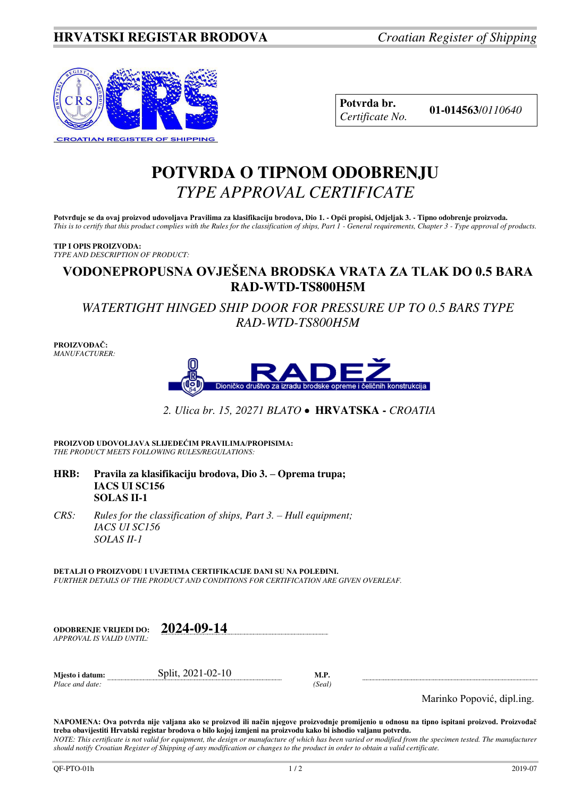

| Potvrda br.     |
|-----------------|
| Certificate No. |

**Potvrda br. 01-014563**/*<sup>0110640</sup> Certificate No.* 

# **POTVRDA O TIPNOM ODOBRENJU**  *TYPE APPROVAL CERTIFICATE*

**Potvrđuje se da ovaj proizvod udovoljava Pravilima za klasifikaciju brodova, Dio 1. - Opći propisi, Odjeljak 3. - Tipno odobrenje proizvoda.**  *This is to certify that this product complies with the Rules for the classification of ships, Part 1 - General requirements, Chapter 3 - Type approval of products.* 

#### **TIP I OPIS PROIZVODA:** *TYPE AND DESCRIPTION OF PRODUCT:*

# **VODONEPROPUSNA OVJEŠENA BRODSKA VRATA ZA TLAK DO 0.5 BARA RAD-WTD-TS800H5M**

*WATERTIGHT HINGED SHIP DOOR FOR PRESSURE UP TO 0.5 BARS TYPE RAD-WTD-TS800H5M* 

**PROIZVOĐAČ:** *MANUFACTURER:*



*2. Ulica br. 15, 20271 BLATO* **HRVATSKA -** *CROATIA*

**PROIZVOD UDOVOLJAVA SLIJEDEĆIM PRAVILIMA/PROPISIMA:** *THE PRODUCT MEETS FOLLOWING RULES/REGULATIONS:* 

- **HRB: Pravila za klasifikaciju brodova, Dio 3. – Oprema trupa; IACS UI SC156 SOLAS II-1**
- *CRS:* Rules for the classification of ships, Part 3. Hull equipment;  *IACS UI SC156 SOLAS II-1*

**DETALJI O PROIZVODU I UVJETIMA CERTIFIKACIJE DANI SU NA POLEĐINI.** *FURTHER DETAILS OF THE PRODUCT AND CONDITIONS FOR CERTIFICATION ARE GIVEN OVERLEAF.* 

| <b>ODOBRENJE VRLIEDI DO:</b> | 2024-09-14 |
|------------------------------|------------|
| APPROVAL IS VALID UNTIL:     |            |

| Mjesto i datum: | Split, 2021-02-10 |        |
|-----------------|-------------------|--------|
| Place and date: |                   | 'Seal) |

Marinko Popović, dipl.ing.

**NAPOMENA: Ova potvrda nije valjana ako se proizvod ili način njegove proizvodnje promijenio u odnosu na tipno ispitani proizvod. Proizvođač treba obavijestiti Hrvatski registar brodova o bilo kojoj izmjeni na proizvodu kako bi ishodio valjanu potvrdu.**  *NOTE: This certificate is not valid for equipment, the design or manufacture of which has been varied or modified from the specimen tested. The manufacturer should notify Croatian Register of Shipping of any modification or changes to the product in order to obtain a valid certificate.*